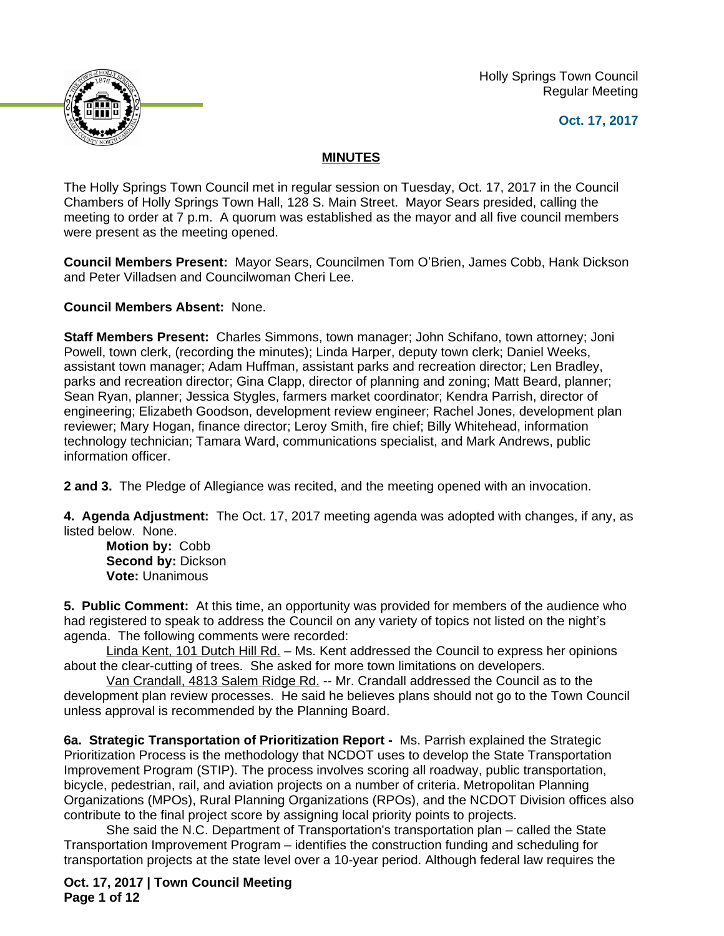Holly Springs Town Council Regular Meeting





#### **MINUTES**

The Holly Springs Town Council met in regular session on Tuesday, Oct. 17, 2017 in the Council Chambers of Holly Springs Town Hall, 128 S. Main Street. Mayor Sears presided, calling the meeting to order at 7 p.m. A quorum was established as the mayor and all five council members were present as the meeting opened.

**Council Members Present:** Mayor Sears, Councilmen Tom O'Brien, James Cobb, Hank Dickson and Peter Villadsen and Councilwoman Cheri Lee.

**Council Members Absent:** None.

**Staff Members Present:** Charles Simmons, town manager; John Schifano, town attorney; Joni Powell, town clerk, (recording the minutes); Linda Harper, deputy town clerk; Daniel Weeks, assistant town manager; Adam Huffman, assistant parks and recreation director; Len Bradley, parks and recreation director; Gina Clapp, director of planning and zoning; Matt Beard, planner; Sean Ryan, planner; Jessica Stygles, farmers market coordinator; Kendra Parrish, director of engineering; Elizabeth Goodson, development review engineer; Rachel Jones, development plan reviewer; Mary Hogan, finance director; Leroy Smith, fire chief; Billy Whitehead, information technology technician; Tamara Ward, communications specialist, and Mark Andrews, public information officer.

**2 and 3.** The Pledge of Allegiance was recited, and the meeting opened with an invocation.

**4. Agenda Adjustment:** The Oct. 17, 2017 meeting agenda was adopted with changes, if any, as listed below. None.

**Motion by:** Cobb **Second by:** Dickson **Vote:** Unanimous

**5. Public Comment:** At this time, an opportunity was provided for members of the audience who had registered to speak to address the Council on any variety of topics not listed on the night's agenda. The following comments were recorded:

Linda Kent, 101 Dutch Hill Rd. – Ms. Kent addressed the Council to express her opinions about the clear-cutting of trees. She asked for more town limitations on developers.

Van Crandall, 4813 Salem Ridge Rd. -- Mr. Crandall addressed the Council as to the development plan review processes. He said he believes plans should not go to the Town Council unless approval is recommended by the Planning Board.

**6a. Strategic Transportation of Prioritization Report -** Ms. Parrish explained the Strategic Prioritization Process is the methodology that NCDOT uses to develop the State Transportation Improvement Program (STIP). The process involves scoring all roadway, public transportation, bicycle, pedestrian, rail, and aviation projects on a number of criteria. Metropolitan Planning Organizations (MPOs), Rural Planning Organizations (RPOs), and the NCDOT Division offices also contribute to the final project score by assigning local priority points to projects.

She said the N.C. Department of Transportation's transportation plan – called the State Transportation Improvement Program – identifies the construction funding and scheduling for transportation projects at the state level over a 10-year period. Although federal law requires the

**Oct. 17, 2017 | Town Council Meeting Page 1 of 12**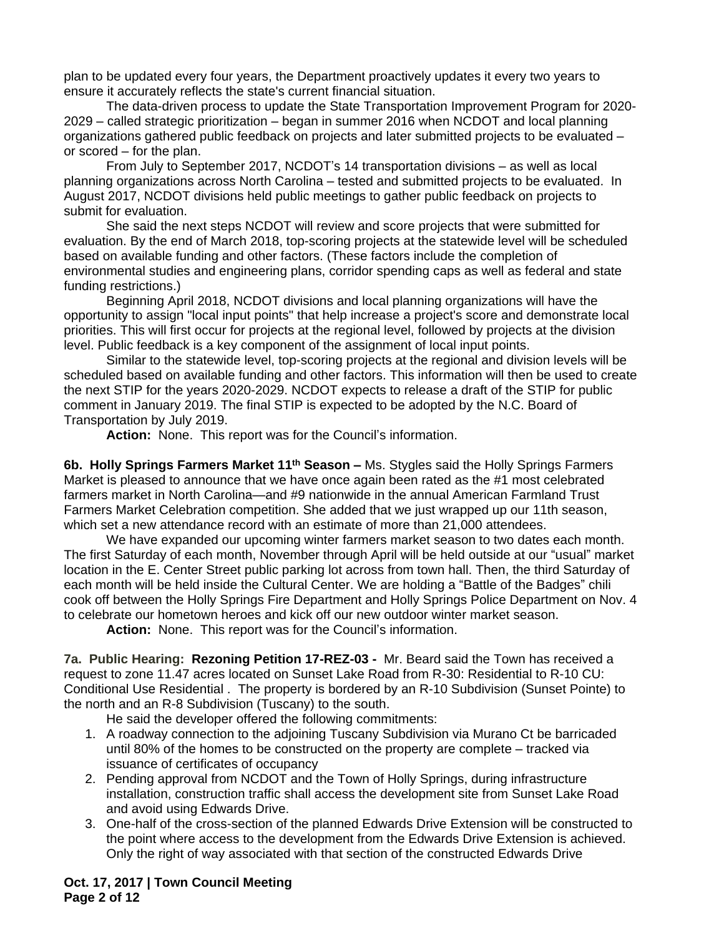plan to be updated every four years, the Department proactively updates it every two years to ensure it accurately reflects the state's current financial situation.

The data-driven process to update the State Transportation Improvement Program for 2020- 2029 – called strategic prioritization – began in summer 2016 when NCDOT and local planning organizations gathered public feedback on projects and later submitted projects to be evaluated – or scored – for the plan.

From July to September 2017, NCDOT's 14 transportation divisions – as well as local planning organizations across North Carolina – tested and submitted projects to be evaluated. In August 2017, NCDOT divisions held public meetings to gather public feedback on projects to submit for evaluation.

She said the next steps NCDOT will review and score projects that were submitted for evaluation. By the end of March 2018, top-scoring projects at the statewide level will be scheduled based on available funding and other factors. (These factors include the completion of environmental studies and engineering plans, corridor spending caps as well as federal and state funding restrictions.)

Beginning April 2018, NCDOT divisions and local planning organizations will have the opportunity to assign "local input points" that help increase a project's score and demonstrate local priorities. This will first occur for projects at the regional level, followed by projects at the division level. Public feedback is a key component of the assignment of local input points.

Similar to the statewide level, top-scoring projects at the regional and division levels will be scheduled based on available funding and other factors. This information will then be used to create the next STIP for the years 2020-2029. NCDOT expects to release a draft of the STIP for public comment in January 2019. The final STIP is expected to be adopted by the N.C. Board of Transportation by July 2019.

**Action:** None. This report was for the Council's information.

**6b. Holly Springs Farmers Market 11th Season –** Ms. Stygles said the Holly Springs Farmers Market is pleased to announce that we have once again been rated as the #1 most celebrated farmers market in North Carolina—and #9 nationwide in the annual American Farmland Trust Farmers Market Celebration competition. She added that we just wrapped up our 11th season, which set a new attendance record with an estimate of more than 21,000 attendees.

We have expanded our upcoming winter farmers market season to two dates each month. The first Saturday of each month, November through April will be held outside at our "usual" market location in the E. Center Street public parking lot across from town hall. Then, the third Saturday of each month will be held inside the Cultural Center. We are holding a "Battle of the Badges" chili cook off between the Holly Springs Fire Department and Holly Springs Police Department on Nov. 4 to celebrate our hometown heroes and kick off our new outdoor winter market season.

**Action:** None. This report was for the Council's information.

**7a. Public Hearing: Rezoning Petition 17-REZ-03 -** Mr. Beard said the Town has received a request to zone 11.47 acres located on Sunset Lake Road from R-30: Residential to R-10 CU: Conditional Use Residential . The property is bordered by an R-10 Subdivision (Sunset Pointe) to the north and an R-8 Subdivision (Tuscany) to the south.

He said the developer offered the following commitments:

- 1. A roadway connection to the adjoining Tuscany Subdivision via Murano Ct be barricaded until 80% of the homes to be constructed on the property are complete – tracked via issuance of certificates of occupancy
- 2. Pending approval from NCDOT and the Town of Holly Springs, during infrastructure installation, construction traffic shall access the development site from Sunset Lake Road and avoid using Edwards Drive.
- 3. One-half of the cross-section of the planned Edwards Drive Extension will be constructed to the point where access to the development from the Edwards Drive Extension is achieved. Only the right of way associated with that section of the constructed Edwards Drive

**Oct. 17, 2017 | Town Council Meeting Page 2 of 12**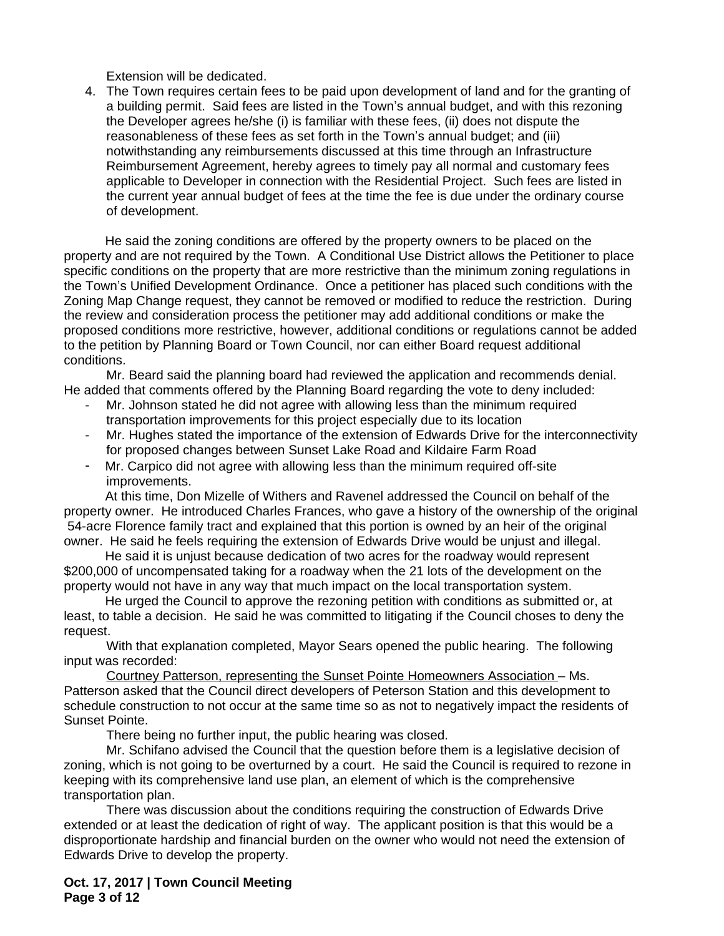Extension will be dedicated.

4. The Town requires certain fees to be paid upon development of land and for the granting of a building permit. Said fees are listed in the Town's annual budget, and with this rezoning the Developer agrees he/she (i) is familiar with these fees, (ii) does not dispute the reasonableness of these fees as set forth in the Town's annual budget; and (iii) notwithstanding any reimbursements discussed at this time through an Infrastructure Reimbursement Agreement, hereby agrees to timely pay all normal and customary fees applicable to Developer in connection with the Residential Project. Such fees are listed in the current year annual budget of fees at the time the fee is due under the ordinary course of development.

He said the zoning conditions are offered by the property owners to be placed on the property and are not required by the Town. A Conditional Use District allows the Petitioner to place specific conditions on the property that are more restrictive than the minimum zoning regulations in the Town's Unified Development Ordinance. Once a petitioner has placed such conditions with the Zoning Map Change request, they cannot be removed or modified to reduce the restriction. During the review and consideration process the petitioner may add additional conditions or make the proposed conditions more restrictive, however, additional conditions or regulations cannot be added to the petition by Planning Board or Town Council, nor can either Board request additional conditions.

Mr. Beard said the planning board had reviewed the application and recommends denial. He added that comments offered by the Planning Board regarding the vote to deny included:

- Mr. Johnson stated he did not agree with allowing less than the minimum required transportation improvements for this project especially due to its location
- Mr. Hughes stated the importance of the extension of Edwards Drive for the interconnectivity for proposed changes between Sunset Lake Road and Kildaire Farm Road
- Mr. Carpico did not agree with allowing less than the minimum required off-site improvements.

At this time, Don Mizelle of Withers and Ravenel addressed the Council on behalf of the property owner. He introduced Charles Frances, who gave a history of the ownership of the original 54-acre Florence family tract and explained that this portion is owned by an heir of the original owner. He said he feels requiring the extension of Edwards Drive would be unjust and illegal.

He said it is unjust because dedication of two acres for the roadway would represent \$200,000 of uncompensated taking for a roadway when the 21 lots of the development on the property would not have in any way that much impact on the local transportation system.

He urged the Council to approve the rezoning petition with conditions as submitted or, at least, to table a decision. He said he was committed to litigating if the Council choses to deny the request.

With that explanation completed, Mayor Sears opened the public hearing. The following input was recorded:

Courtney Patterson, representing the Sunset Pointe Homeowners Association – Ms. Patterson asked that the Council direct developers of Peterson Station and this development to schedule construction to not occur at the same time so as not to negatively impact the residents of Sunset Pointe.

There being no further input, the public hearing was closed.

Mr. Schifano advised the Council that the question before them is a legislative decision of zoning, which is not going to be overturned by a court. He said the Council is required to rezone in keeping with its comprehensive land use plan, an element of which is the comprehensive transportation plan.

There was discussion about the conditions requiring the construction of Edwards Drive extended or at least the dedication of right of way. The applicant position is that this would be a disproportionate hardship and financial burden on the owner who would not need the extension of Edwards Drive to develop the property.

**Oct. 17, 2017 | Town Council Meeting Page 3 of 12**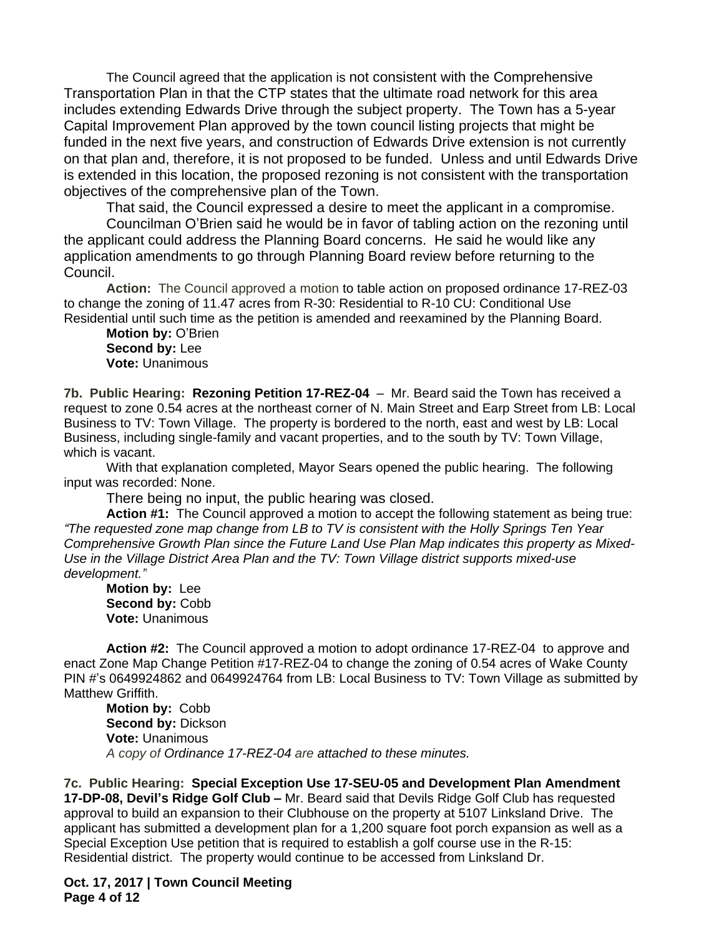The Council agreed that the application is not consistent with the Comprehensive Transportation Plan in that the CTP states that the ultimate road network for this area includes extending Edwards Drive through the subject property. The Town has a 5-year Capital Improvement Plan approved by the town council listing projects that might be funded in the next five years, and construction of Edwards Drive extension is not currently on that plan and, therefore, it is not proposed to be funded. Unless and until Edwards Drive is extended in this location, the proposed rezoning is not consistent with the transportation objectives of the comprehensive plan of the Town.

That said, the Council expressed a desire to meet the applicant in a compromise.

Councilman O'Brien said he would be in favor of tabling action on the rezoning until the applicant could address the Planning Board concerns. He said he would like any application amendments to go through Planning Board review before returning to the Council.

**Action:** The Council approved a motion to table action on proposed ordinance 17-REZ-03 to change the zoning of 11.47 acres from R-30: Residential to R-10 CU: Conditional Use Residential until such time as the petition is amended and reexamined by the Planning Board.

**Motion by:** O'Brien **Second by:** Lee **Vote:** Unanimous

**7b. Public Hearing: Rezoning Petition 17-REZ-04** – Mr. Beard said the Town has received a request to zone 0.54 acres at the northeast corner of N. Main Street and Earp Street from LB: Local Business to TV: Town Village. The property is bordered to the north, east and west by LB: Local Business, including single-family and vacant properties, and to the south by TV: Town Village, which is vacant.

With that explanation completed, Mayor Sears opened the public hearing. The following input was recorded: None.

There being no input, the public hearing was closed.

**Action #1:** The Council approved a motion to accept the following statement as being true: *"The requested zone map change from LB to TV is consistent with the Holly Springs Ten Year Comprehensive Growth Plan since the Future Land Use Plan Map indicates this property as Mixed-Use in the Village District Area Plan and the TV: Town Village district supports mixed-use development."*

**Motion by:** Lee **Second by:** Cobb **Vote:** Unanimous

**Action #2:** The Council approved a motion to adopt ordinance 17-REZ-04 to approve and enact Zone Map Change Petition #17-REZ-04 to change the zoning of 0.54 acres of Wake County PIN #'s 0649924862 and 0649924764 from LB: Local Business to TV: Town Village as submitted by Matthew Griffith.

**Motion by:** Cobb **Second by:** Dickson **Vote:** Unanimous *A copy of Ordinance 17-REZ-04 are attached to these minutes.*

**7c. Public Hearing: Special Exception Use 17-SEU-05 and Development Plan Amendment 17-DP-08, Devil's Ridge Golf Club –** Mr. Beard said that Devils Ridge Golf Club has requested approval to build an expansion to their Clubhouse on the property at 5107 Linksland Drive. The applicant has submitted a development plan for a 1,200 square foot porch expansion as well as a Special Exception Use petition that is required to establish a golf course use in the R-15: Residential district. The property would continue to be accessed from Linksland Dr.

**Oct. 17, 2017 | Town Council Meeting Page 4 of 12**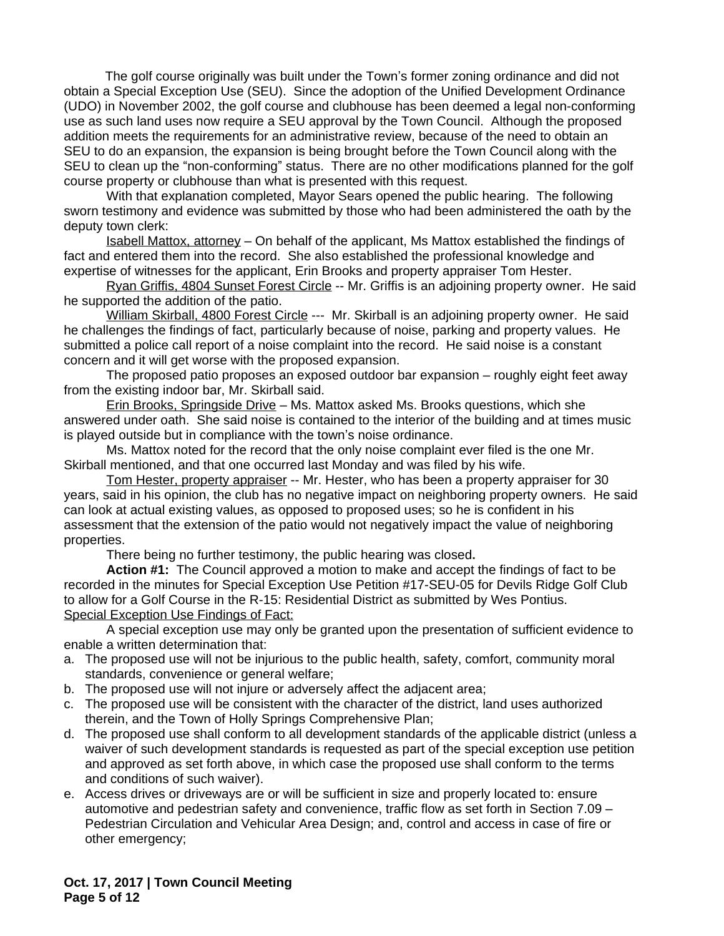The golf course originally was built under the Town's former zoning ordinance and did not obtain a Special Exception Use (SEU). Since the adoption of the Unified Development Ordinance (UDO) in November 2002, the golf course and clubhouse has been deemed a legal non-conforming use as such land uses now require a SEU approval by the Town Council. Although the proposed addition meets the requirements for an administrative review, because of the need to obtain an SEU to do an expansion, the expansion is being brought before the Town Council along with the SEU to clean up the "non-conforming" status. There are no other modifications planned for the golf course property or clubhouse than what is presented with this request.

With that explanation completed, Mayor Sears opened the public hearing. The following sworn testimony and evidence was submitted by those who had been administered the oath by the deputy town clerk:

Isabell Mattox, attorney – On behalf of the applicant, Ms Mattox established the findings of fact and entered them into the record. She also established the professional knowledge and expertise of witnesses for the applicant, Erin Brooks and property appraiser Tom Hester.

Ryan Griffis, 4804 Sunset Forest Circle -- Mr. Griffis is an adjoining property owner. He said he supported the addition of the patio.

William Skirball, 4800 Forest Circle --- Mr. Skirball is an adjoining property owner. He said he challenges the findings of fact, particularly because of noise, parking and property values. He submitted a police call report of a noise complaint into the record. He said noise is a constant concern and it will get worse with the proposed expansion.

The proposed patio proposes an exposed outdoor bar expansion – roughly eight feet away from the existing indoor bar, Mr. Skirball said.

Erin Brooks, Springside Drive - Ms. Mattox asked Ms. Brooks questions, which she answered under oath. She said noise is contained to the interior of the building and at times music is played outside but in compliance with the town's noise ordinance.

Ms. Mattox noted for the record that the only noise complaint ever filed is the one Mr. Skirball mentioned, and that one occurred last Monday and was filed by his wife.

Tom Hester, property appraiser -- Mr. Hester, who has been a property appraiser for 30 years, said in his opinion, the club has no negative impact on neighboring property owners. He said can look at actual existing values, as opposed to proposed uses; so he is confident in his assessment that the extension of the patio would not negatively impact the value of neighboring properties.

There being no further testimony, the public hearing was closed**.**

**Action #1:** The Council approved a motion to make and accept the findings of fact to be recorded in the minutes for Special Exception Use Petition #17-SEU-05 for Devils Ridge Golf Club to allow for a Golf Course in the R-15: Residential District as submitted by Wes Pontius. Special Exception Use Findings of Fact:

A special exception use may only be granted upon the presentation of sufficient evidence to enable a written determination that:

- a. The proposed use will not be injurious to the public health, safety, comfort, community moral standards, convenience or general welfare;
- b. The proposed use will not injure or adversely affect the adjacent area;
- c. The proposed use will be consistent with the character of the district, land uses authorized therein, and the Town of Holly Springs Comprehensive Plan;
- d. The proposed use shall conform to all development standards of the applicable district (unless a waiver of such development standards is requested as part of the special exception use petition and approved as set forth above, in which case the proposed use shall conform to the terms and conditions of such waiver).
- e. Access drives or driveways are or will be sufficient in size and properly located to: ensure automotive and pedestrian safety and convenience, traffic flow as set forth in Section 7.09 – Pedestrian Circulation and Vehicular Area Design; and, control and access in case of fire or other emergency;

**Oct. 17, 2017 | Town Council Meeting Page 5 of 12**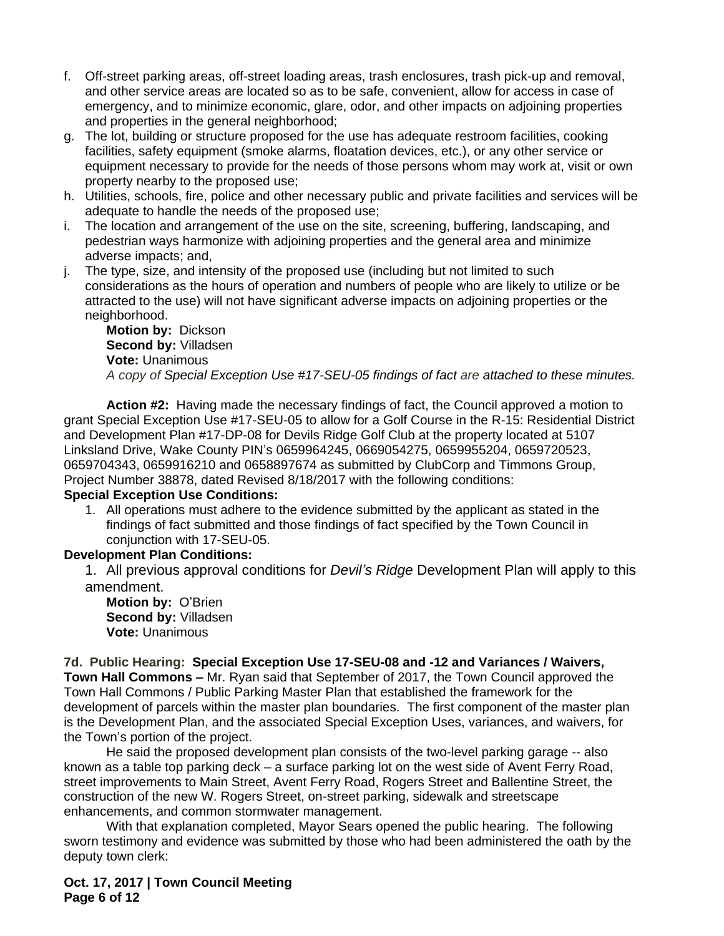- f. Off-street parking areas, off-street loading areas, trash enclosures, trash pick-up and removal, and other service areas are located so as to be safe, convenient, allow for access in case of emergency, and to minimize economic, glare, odor, and other impacts on adjoining properties and properties in the general neighborhood;
- g. The lot, building or structure proposed for the use has adequate restroom facilities, cooking facilities, safety equipment (smoke alarms, floatation devices, etc.), or any other service or equipment necessary to provide for the needs of those persons whom may work at, visit or own property nearby to the proposed use;
- h. Utilities, schools, fire, police and other necessary public and private facilities and services will be adequate to handle the needs of the proposed use;
- i. The location and arrangement of the use on the site, screening, buffering, landscaping, and pedestrian ways harmonize with adjoining properties and the general area and minimize adverse impacts; and,
- j. The type, size, and intensity of the proposed use (including but not limited to such considerations as the hours of operation and numbers of people who are likely to utilize or be attracted to the use) will not have significant adverse impacts on adjoining properties or the neighborhood.

**Motion by:** Dickson **Second by:** Villadsen **Vote:** Unanimous *A copy of Special Exception Use #17-SEU-05 findings of fact are attached to these minutes.*

**Action #2:** Having made the necessary findings of fact, the Council approved a motion to grant Special Exception Use #17-SEU-05 to allow for a Golf Course in the R-15: Residential District and Development Plan #17-DP-08 for Devils Ridge Golf Club at the property located at 5107 Linksland Drive, Wake County PIN's 0659964245, 0669054275, 0659955204, 0659720523, 0659704343, 0659916210 and 0658897674 as submitted by ClubCorp and Timmons Group, Project Number 38878, dated Revised 8/18/2017 with the following conditions:

#### **Special Exception Use Conditions:**

1. All operations must adhere to the evidence submitted by the applicant as stated in the findings of fact submitted and those findings of fact specified by the Town Council in conjunction with 17-SEU-05.

#### **Development Plan Conditions:**

1. All previous approval conditions for *Devil's Ridge* Development Plan will apply to this amendment.

**Motion by:** O'Brien **Second by:** Villadsen **Vote:** Unanimous

**7d. Public Hearing: Special Exception Use 17-SEU-08 and -12 and Variances / Waivers, Town Hall Commons –** Mr. Ryan said that September of 2017, the Town Council approved the Town Hall Commons / Public Parking Master Plan that established the framework for the development of parcels within the master plan boundaries. The first component of the master plan is the Development Plan, and the associated Special Exception Uses, variances, and waivers, for the Town's portion of the project.

He said the proposed development plan consists of the two-level parking garage -- also known as a table top parking deck – a surface parking lot on the west side of Avent Ferry Road, street improvements to Main Street, Avent Ferry Road, Rogers Street and Ballentine Street, the construction of the new W. Rogers Street, on-street parking, sidewalk and streetscape enhancements, and common stormwater management.

With that explanation completed, Mayor Sears opened the public hearing. The following sworn testimony and evidence was submitted by those who had been administered the oath by the deputy town clerk:

**Oct. 17, 2017 | Town Council Meeting Page 6 of 12**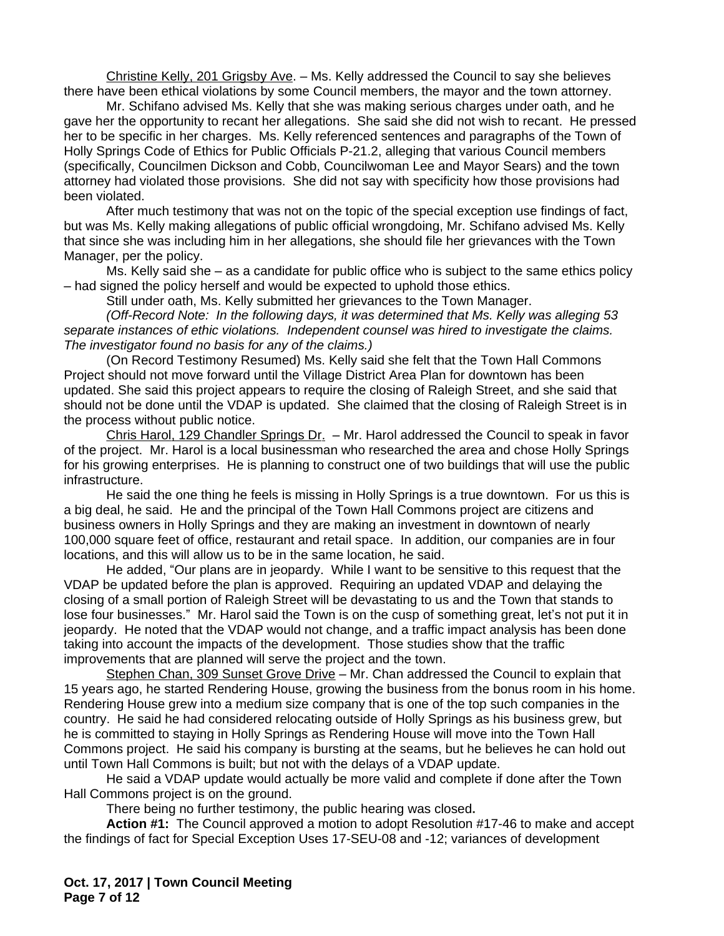Christine Kelly, 201 Grigsby Ave. – Ms. Kelly addressed the Council to say she believes there have been ethical violations by some Council members, the mayor and the town attorney.

Mr. Schifano advised Ms. Kelly that she was making serious charges under oath, and he gave her the opportunity to recant her allegations. She said she did not wish to recant. He pressed her to be specific in her charges. Ms. Kelly referenced sentences and paragraphs of the Town of Holly Springs Code of Ethics for Public Officials P-21.2, alleging that various Council members (specifically, Councilmen Dickson and Cobb, Councilwoman Lee and Mayor Sears) and the town attorney had violated those provisions. She did not say with specificity how those provisions had been violated.

After much testimony that was not on the topic of the special exception use findings of fact, but was Ms. Kelly making allegations of public official wrongdoing, Mr. Schifano advised Ms. Kelly that since she was including him in her allegations, she should file her grievances with the Town Manager, per the policy.

Ms. Kelly said she – as a candidate for public office who is subject to the same ethics policy – had signed the policy herself and would be expected to uphold those ethics.

Still under oath, Ms. Kelly submitted her grievances to the Town Manager.

*(Off-Record Note: In the following days, it was determined that Ms. Kelly was alleging 53 separate instances of ethic violations. Independent counsel was hired to investigate the claims. The investigator found no basis for any of the claims.)* 

(On Record Testimony Resumed) Ms. Kelly said she felt that the Town Hall Commons Project should not move forward until the Village District Area Plan for downtown has been updated. She said this project appears to require the closing of Raleigh Street, and she said that should not be done until the VDAP is updated. She claimed that the closing of Raleigh Street is in the process without public notice.

Chris Harol, 129 Chandler Springs Dr. - Mr. Harol addressed the Council to speak in favor of the project. Mr. Harol is a local businessman who researched the area and chose Holly Springs for his growing enterprises. He is planning to construct one of two buildings that will use the public infrastructure.

He said the one thing he feels is missing in Holly Springs is a true downtown. For us this is a big deal, he said. He and the principal of the Town Hall Commons project are citizens and business owners in Holly Springs and they are making an investment in downtown of nearly 100,000 square feet of office, restaurant and retail space. In addition, our companies are in four locations, and this will allow us to be in the same location, he said.

He added, "Our plans are in jeopardy. While I want to be sensitive to this request that the VDAP be updated before the plan is approved. Requiring an updated VDAP and delaying the closing of a small portion of Raleigh Street will be devastating to us and the Town that stands to lose four businesses." Mr. Harol said the Town is on the cusp of something great, let's not put it in jeopardy. He noted that the VDAP would not change, and a traffic impact analysis has been done taking into account the impacts of the development. Those studies show that the traffic improvements that are planned will serve the project and the town.

Stephen Chan, 309 Sunset Grove Drive – Mr. Chan addressed the Council to explain that 15 years ago, he started Rendering House, growing the business from the bonus room in his home. Rendering House grew into a medium size company that is one of the top such companies in the country. He said he had considered relocating outside of Holly Springs as his business grew, but he is committed to staying in Holly Springs as Rendering House will move into the Town Hall Commons project. He said his company is bursting at the seams, but he believes he can hold out until Town Hall Commons is built; but not with the delays of a VDAP update.

He said a VDAP update would actually be more valid and complete if done after the Town Hall Commons project is on the ground.

There being no further testimony, the public hearing was closed**.**

**Action #1:** The Council approved a motion to adopt Resolution #17-46 to make and accept the findings of fact for Special Exception Uses 17-SEU-08 and -12; variances of development

**Oct. 17, 2017 | Town Council Meeting Page 7 of 12**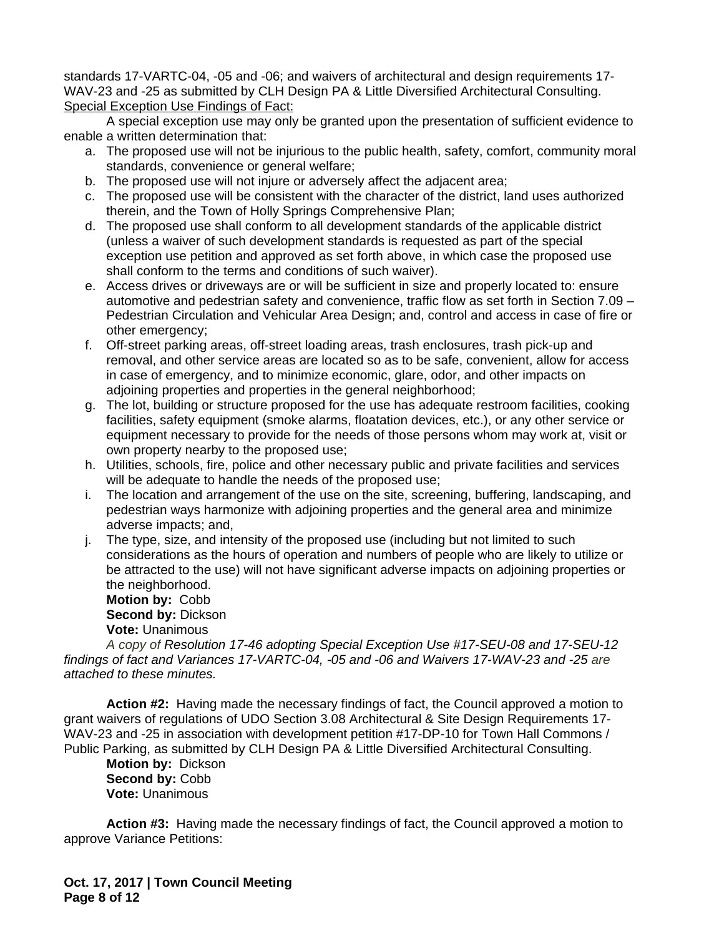standards 17-VARTC-04, -05 and -06; and waivers of architectural and design requirements 17- WAV-23 and -25 as submitted by CLH Design PA & Little Diversified Architectural Consulting. Special Exception Use Findings of Fact:

A special exception use may only be granted upon the presentation of sufficient evidence to enable a written determination that:

- a. The proposed use will not be injurious to the public health, safety, comfort, community moral standards, convenience or general welfare;
- b. The proposed use will not injure or adversely affect the adjacent area;
- c. The proposed use will be consistent with the character of the district, land uses authorized therein, and the Town of Holly Springs Comprehensive Plan;
- d. The proposed use shall conform to all development standards of the applicable district (unless a waiver of such development standards is requested as part of the special exception use petition and approved as set forth above, in which case the proposed use shall conform to the terms and conditions of such waiver).
- e. Access drives or driveways are or will be sufficient in size and properly located to: ensure automotive and pedestrian safety and convenience, traffic flow as set forth in Section 7.09 – Pedestrian Circulation and Vehicular Area Design; and, control and access in case of fire or other emergency;
- f. Off-street parking areas, off-street loading areas, trash enclosures, trash pick-up and removal, and other service areas are located so as to be safe, convenient, allow for access in case of emergency, and to minimize economic, glare, odor, and other impacts on adjoining properties and properties in the general neighborhood;
- g. The lot, building or structure proposed for the use has adequate restroom facilities, cooking facilities, safety equipment (smoke alarms, floatation devices, etc.), or any other service or equipment necessary to provide for the needs of those persons whom may work at, visit or own property nearby to the proposed use;
- h. Utilities, schools, fire, police and other necessary public and private facilities and services will be adequate to handle the needs of the proposed use;
- i. The location and arrangement of the use on the site, screening, buffering, landscaping, and pedestrian ways harmonize with adjoining properties and the general area and minimize adverse impacts; and,
- j. The type, size, and intensity of the proposed use (including but not limited to such considerations as the hours of operation and numbers of people who are likely to utilize or be attracted to the use) will not have significant adverse impacts on adjoining properties or the neighborhood.

**Motion by:** Cobb **Second by:** Dickson **Vote:** Unanimous

*A copy of Resolution 17-46 adopting Special Exception Use #17-SEU-08 and 17-SEU-12 findings of fact and Variances 17-VARTC-04, -05 and -06 and Waivers 17-WAV-23 and -25 are attached to these minutes.*

**Action #2:** Having made the necessary findings of fact, the Council approved a motion to grant waivers of regulations of UDO Section 3.08 Architectural & Site Design Requirements 17- WAV-23 and -25 in association with development petition #17-DP-10 for Town Hall Commons / Public Parking, as submitted by CLH Design PA & Little Diversified Architectural Consulting.

**Motion by:** Dickson **Second by:** Cobb **Vote:** Unanimous

**Action #3:** Having made the necessary findings of fact, the Council approved a motion to approve Variance Petitions:

**Oct. 17, 2017 | Town Council Meeting Page 8 of 12**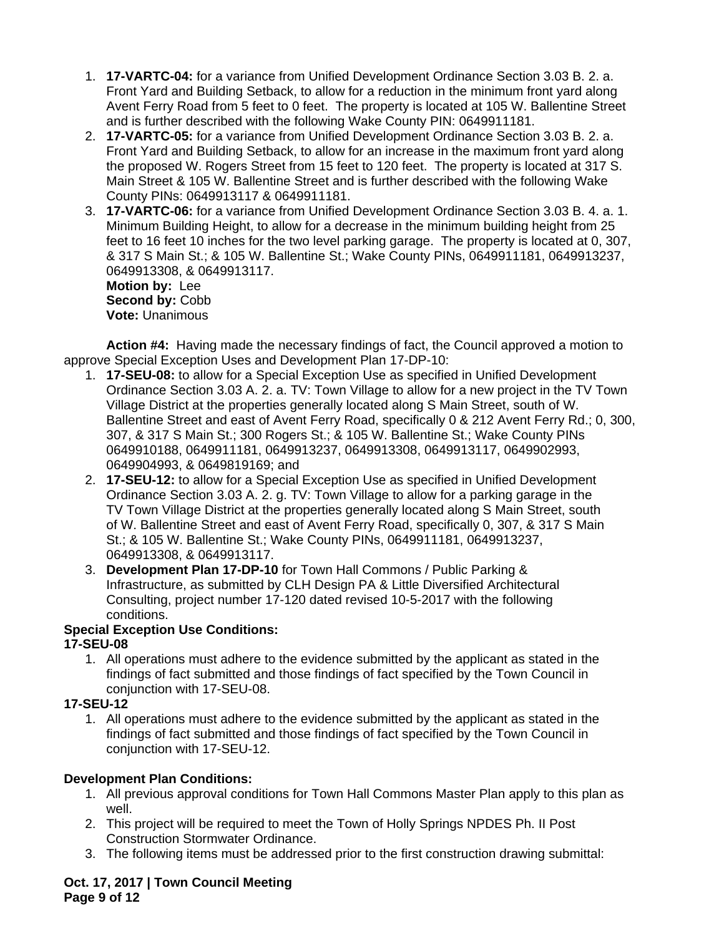- 1. **17-VARTC-04:** for a variance from Unified Development Ordinance Section 3.03 B. 2. a. Front Yard and Building Setback, to allow for a reduction in the minimum front yard along Avent Ferry Road from 5 feet to 0 feet. The property is located at 105 W. Ballentine Street and is further described with the following Wake County PIN: 0649911181.
- 2. **17-VARTC-05:** for a variance from Unified Development Ordinance Section 3.03 B. 2. a. Front Yard and Building Setback, to allow for an increase in the maximum front yard along the proposed W. Rogers Street from 15 feet to 120 feet. The property is located at 317 S. Main Street & 105 W. Ballentine Street and is further described with the following Wake County PINs: 0649913117 & 0649911181.
- 3. **17-VARTC-06:** for a variance from Unified Development Ordinance Section 3.03 B. 4. a. 1. Minimum Building Height, to allow for a decrease in the minimum building height from 25 feet to 16 feet 10 inches for the two level parking garage. The property is located at 0, 307, & 317 S Main St.; & 105 W. Ballentine St.; Wake County PINs, 0649911181, 0649913237, 0649913308, & 0649913117. **Motion by:** Lee **Second by:** Cobb **Vote:** Unanimous

**Action #4:** Having made the necessary findings of fact, the Council approved a motion to approve Special Exception Uses and Development Plan 17-DP-10:

- 1. **17-SEU-08:** to allow for a Special Exception Use as specified in Unified Development Ordinance Section 3.03 A. 2. a. TV: Town Village to allow for a new project in the TV Town Village District at the properties generally located along S Main Street, south of W. Ballentine Street and east of Avent Ferry Road, specifically 0 & 212 Avent Ferry Rd.; 0, 300, 307, & 317 S Main St.; 300 Rogers St.; & 105 W. Ballentine St.; Wake County PINs 0649910188, 0649911181, 0649913237, 0649913308, 0649913117, 0649902993, 0649904993, & 0649819169; and
- 2. **17-SEU-12:** to allow for a Special Exception Use as specified in Unified Development Ordinance Section 3.03 A. 2. g. TV: Town Village to allow for a parking garage in the TV Town Village District at the properties generally located along S Main Street, south of W. Ballentine Street and east of Avent Ferry Road, specifically 0, 307, & 317 S Main St.; & 105 W. Ballentine St.; Wake County PINs, 0649911181, 0649913237, 0649913308, & 0649913117.
- 3. **Development Plan 17-DP-10** for Town Hall Commons / Public Parking & Infrastructure, as submitted by CLH Design PA & Little Diversified Architectural Consulting, project number 17-120 dated revised 10-5-2017 with the following conditions.

## **Special Exception Use Conditions:**

## **17-SEU-08**

1. All operations must adhere to the evidence submitted by the applicant as stated in the findings of fact submitted and those findings of fact specified by the Town Council in conjunction with 17-SEU-08.

# **17-SEU-12**

1. All operations must adhere to the evidence submitted by the applicant as stated in the findings of fact submitted and those findings of fact specified by the Town Council in conjunction with 17-SEU-12.

# **Development Plan Conditions:**

- 1. All previous approval conditions for Town Hall Commons Master Plan apply to this plan as well.
- 2. This project will be required to meet the Town of Holly Springs NPDES Ph. II Post Construction Stormwater Ordinance.
- 3. The following items must be addressed prior to the first construction drawing submittal:

### **Oct. 17, 2017 | Town Council Meeting Page 9 of 12**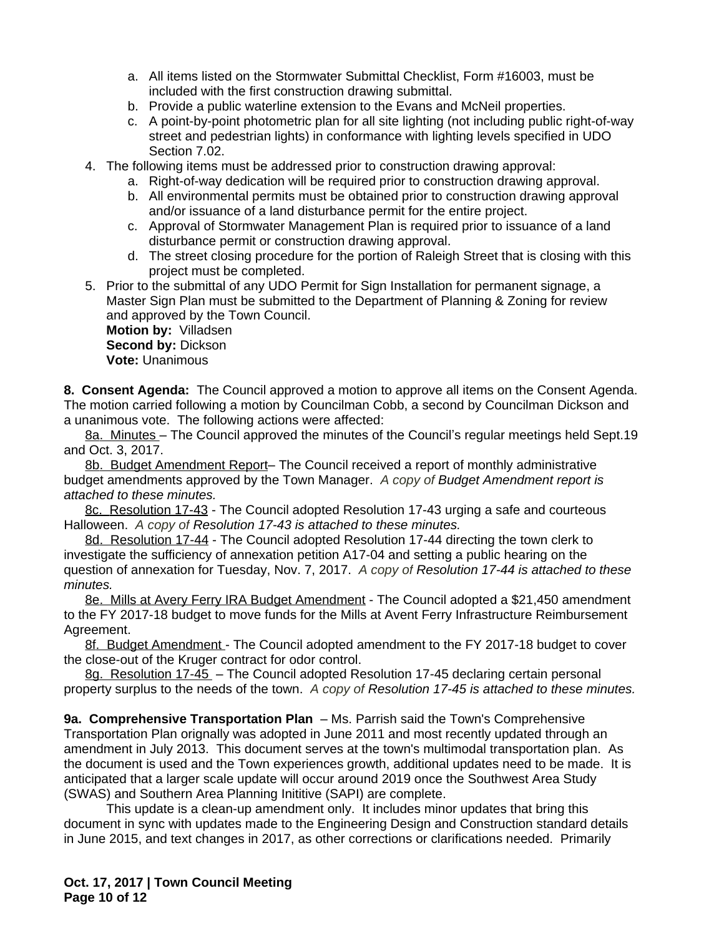- a. All items listed on the Stormwater Submittal Checklist, Form #16003, must be included with the first construction drawing submittal.
- b. Provide a public waterline extension to the Evans and McNeil properties.
- c. A point-by-point photometric plan for all site lighting (not including public right-of-way street and pedestrian lights) in conformance with lighting levels specified in UDO Section 7.02.
- 4. The following items must be addressed prior to construction drawing approval:
	- a. Right-of-way dedication will be required prior to construction drawing approval.
	- b. All environmental permits must be obtained prior to construction drawing approval and/or issuance of a land disturbance permit for the entire project.
	- c. Approval of Stormwater Management Plan is required prior to issuance of a land disturbance permit or construction drawing approval.
	- d. The street closing procedure for the portion of Raleigh Street that is closing with this project must be completed.
- 5. Prior to the submittal of any UDO Permit for Sign Installation for permanent signage, a Master Sign Plan must be submitted to the Department of Planning & Zoning for review and approved by the Town Council.

**Motion by:** Villadsen **Second by:** Dickson **Vote:** Unanimous

**8. Consent Agenda:** The Council approved a motion to approve all items on the Consent Agenda. The motion carried following a motion by Councilman Cobb, a second by Councilman Dickson and a unanimous vote. The following actions were affected:

8a. Minutes - The Council approved the minutes of the Council's regular meetings held Sept.19 and Oct. 3, 2017.

8b. Budget Amendment Report– The Council received a report of monthly administrative budget amendments approved by the Town Manager.*A copy of Budget Amendment report is attached to these minutes.*

8c. Resolution 17-43 - The Council adopted Resolution 17-43 urging a safe and courteous Halloween. *A copy of Resolution 17-43 is attached to these minutes.*

8d. Resolution 17-44 - The Council adopted Resolution 17-44 directing the town clerk to investigate the sufficiency of annexation petition A17-04 and setting a public hearing on the question of annexation for Tuesday, Nov. 7, 2017. *A copy of Resolution 17-44 is attached to these minutes.*

8e. Mills at Avery Ferry IRA Budget Amendment - The Council adopted a \$21,450 amendment to the FY 2017-18 budget to move funds for the Mills at Avent Ferry Infrastructure Reimbursement Agreement.

8f. Budget Amendment - The Council adopted amendment to the FY 2017-18 budget to cover the close-out of the Kruger contract for odor control.

8g. Resolution 17-45 – The Council adopted Resolution 17-45 declaring certain personal property surplus to the needs of the town. *A copy of Resolution 17-45 is attached to these minutes.*

**9a. Comprehensive Transportation Plan** – Ms. Parrish said the Town's Comprehensive Transportation Plan orignally was adopted in June 2011 and most recently updated through an amendment in July 2013. This document serves at the town's multimodal transportation plan. As the document is used and the Town experiences growth, additional updates need to be made. It is anticipated that a larger scale update will occur around 2019 once the Southwest Area Study (SWAS) and Southern Area Planning Inititive (SAPI) are complete.

This update is a clean-up amendment only. It includes minor updates that bring this document in sync with updates made to the Engineering Design and Construction standard details in June 2015, and text changes in 2017, as other corrections or clarifications needed. Primarily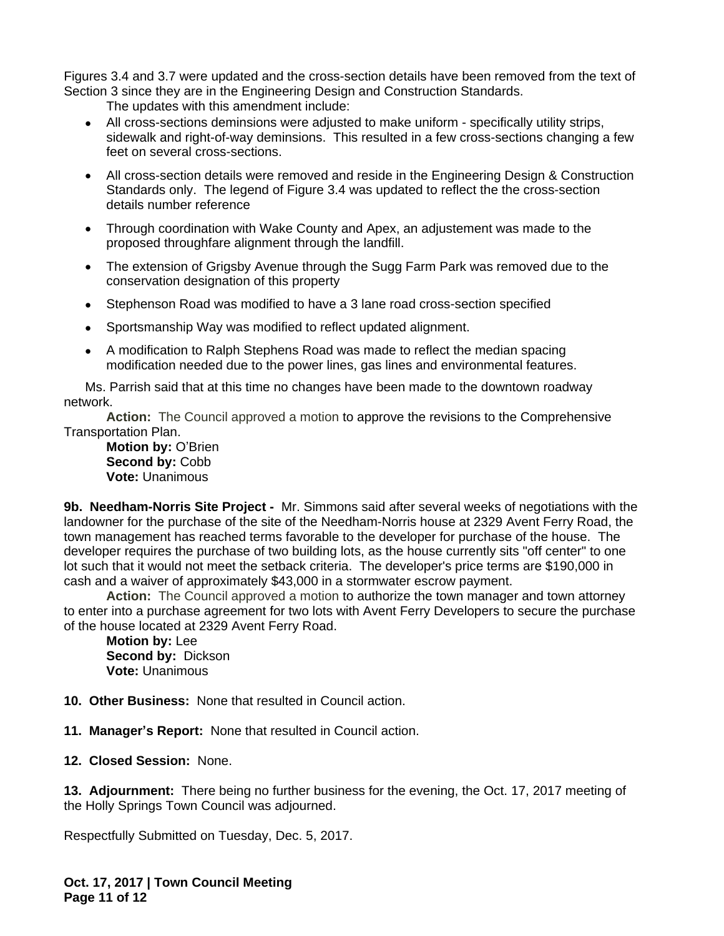Figures 3.4 and 3.7 were updated and the cross-section details have been removed from the text of Section 3 since they are in the Engineering Design and Construction Standards.

The updates with this amendment include:

- All cross-sections deminsions were adjusted to make uniform specifically utility strips, sidewalk and right-of-way deminsions. This resulted in a few cross-sections changing a few feet on several cross-sections.
- All cross-section details were removed and reside in the Engineering Design & Construction Standards only. The legend of Figure 3.4 was updated to reflect the the cross-section details number reference
- Through coordination with Wake County and Apex, an adjustement was made to the proposed throughfare alignment through the landfill.
- The extension of Grigsby Avenue through the Sugg Farm Park was removed due to the conservation designation of this property
- Stephenson Road was modified to have a 3 lane road cross-section specified
- Sportsmanship Way was modified to reflect updated alignment.
- A modification to Ralph Stephens Road was made to reflect the median spacing modification needed due to the power lines, gas lines and environmental features.

Ms. Parrish said that at this time no changes have been made to the downtown roadway network.

**Action:** The Council approved a motion to approve the revisions to the Comprehensive Transportation Plan.

**Motion by:** O'Brien Second by: Cobb **Vote:** Unanimous

**9b. Needham-Norris Site Project -** Mr. Simmons said after several weeks of negotiations with the landowner for the purchase of the site of the Needham-Norris house at 2329 Avent Ferry Road, the town management has reached terms favorable to the developer for purchase of the house. The developer requires the purchase of two building lots, as the house currently sits "off center" to one lot such that it would not meet the setback criteria. The developer's price terms are \$190,000 in cash and a waiver of approximately \$43,000 in a stormwater escrow payment.

**Action:** The Council approved a motion to authorize the town manager and town attorney to enter into a purchase agreement for two lots with Avent Ferry Developers to secure the purchase of the house located at 2329 Avent Ferry Road.

**Motion by:** Lee **Second by:** Dickson **Vote:** Unanimous

**10. Other Business:** None that resulted in Council action.

**11. Manager's Report:** None that resulted in Council action.

**12. Closed Session:** None.

**13. Adjournment:** There being no further business for the evening, the Oct. 17, 2017 meeting of the Holly Springs Town Council was adjourned.

Respectfully Submitted on Tuesday, Dec. 5, 2017.